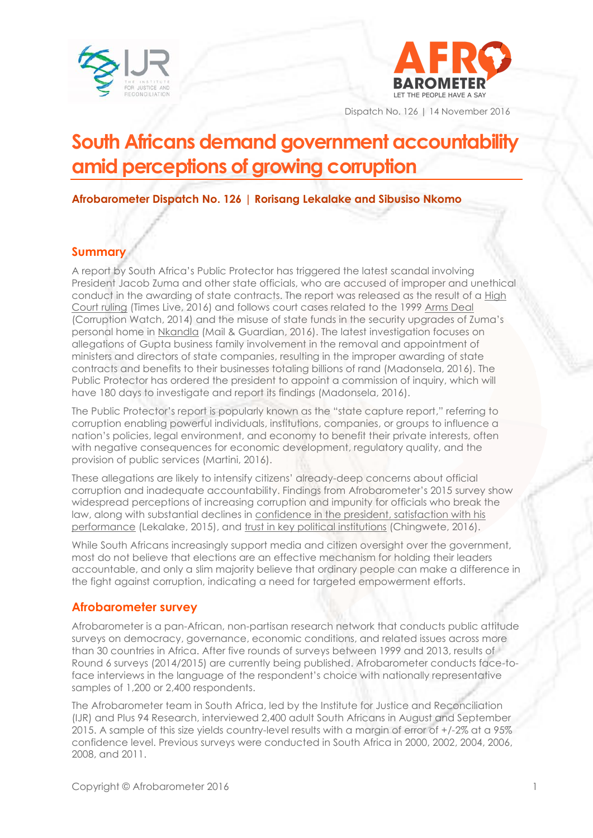



Dispatch No. 126 | 14 November 2016

# **South Africans demand government accountability amid perceptions of growing corruption**

**Afrobarometer Dispatch No. 126 | Rorisang Lekalake and Sibusiso Nkomo**

### **Summary**

A report by South Africa's Public Protector has triggered the latest scandal involving President Jacob Zuma and other state officials, who are accused of improper and unethical conduct in the awarding of state contracts. The report was released as the result of a [High](http://www.timeslive.co.za/politics/2016/11/02/Court-orders-Public-Protector-to-release-state-capture-report)  [Court ruling](http://www.timeslive.co.za/politics/2016/11/02/Court-orders-Public-Protector-to-release-state-capture-report) (Times Live, 2016) and follows court cases related to the 1999 [Arms Deal](http://www.corruptionwatch.org.za/the-arms-deal-what-you-need-to-know-2/) (Corruption Watch, 2014) and the misuse of state funds in the security upgrades of Zuma's personal home in [Nkandla](http://mg.co.za/tag/nkandla-1) (Mail & Guardian, 2016). The latest investigation focuses on allegations of Gupta business family involvement in the removal and appointment of ministers and directors of state companies, resulting in the improper awarding of state contracts and benefits to their businesses totaling billions of rand (Madonsela, 2016). The Public Protector has ordered the president to appoint a commission of inquiry, which will have 180 days to investigate and report its findings (Madonsela, 2016).

The Public Protector's report is popularly known as the "state capture report," referring to corruption enabling powerful individuals, institutions, companies, or groups to influence a nation's policies, legal environment, and economy to benefit their private interests, often with negative consequences for economic development, regulatory quality, and the provision of public services (Martini, 2016).

These allegations are likely to intensify citizens' already-deep concerns about official corruption and inadequate accountability. Findings from Afrobarometer's 2015 survey show widespread perceptions of increasing corruption and impunity for officials who break the law, along with substantial declines in [confidence in the president,](http://afrobarometer.org/publications/ad66-south-africans-have-lost-confidence-zuma-believe-he-ignores-parliament-and-law) satisfaction with his [performance](http://afrobarometer.org/publications/ad66-south-africans-have-lost-confidence-zuma-believe-he-ignores-parliament-and-law) (Lekalake, 2015), and [trust in key political institutions](http://afrobarometer.org/publications/ad90-south-africa-citizens-trust-president-political-institutions-drops-sharply) (Chingwete, 2016).

While South Africans increasingly support media and citizen oversight over the government, most do not believe that elections are an effective mechanism for holding their leaders accountable, and only a slim majority believe that ordinary people can make a difference in the fight against corruption, indicating a need for targeted empowerment efforts.

#### **Afrobarometer survey**

Afrobarometer is a pan-African, non-partisan research network that conducts public attitude surveys on democracy, governance, economic conditions, and related issues across more than 30 countries in Africa. After five rounds of surveys between 1999 and 2013, results of Round 6 surveys (2014/2015) are currently being published. Afrobarometer conducts face-toface interviews in the language of the respondent's choice with nationally representative samples of 1,200 or 2,400 respondents.

The Afrobarometer team in South Africa, led by the Institute for Justice and Reconciliation (IJR) and Plus 94 Research, interviewed 2,400 adult South Africans in August and September 2015. A sample of this size yields country-level results with a margin of error of +/-2% at a 95% confidence level. Previous surveys were conducted in South Africa in 2000, 2002, 2004, 2006, 2008, and 2011.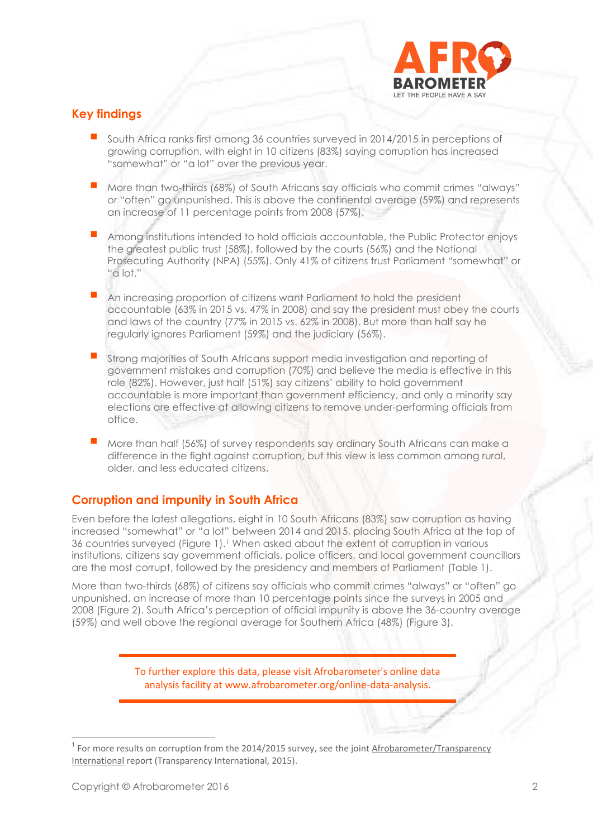

## **Key findings**

- South Africa ranks first among 36 countries surveyed in 2014/2015 in perceptions of growing corruption, with eight in 10 citizens (83%) saying corruption has increased "somewhat" or "a lot" over the previous year.
- More than two-thirds (68%) of South Africans say officials who commit crimes "always" or "often" go unpunished. This is above the continental average (59%) and represents an increase of 11 percentage points from 2008 (57%).
- Among institutions intended to hold officials accountable, the Public Protector enjoys the greatest public trust (58%), followed by the courts (56%) and the National Prosecuting Authority (NPA) (55%). Only 41% of citizens trust Parliament "somewhat" or "a lot."
- An increasing proportion of citizens want Parliament to hold the president accountable (63% in 2015 vs. 47% in 2008) and say the president must obey the courts and laws of the country (77% in 2015 vs. 62% in 2008). But more than half say he regularly ignores Parliament (59%) and the judiciary (56%).
- Strong majorities of South Africans support media investigation and reporting of government mistakes and corruption (70%) and believe the media is effective in this role (82%). However, just half (51%) say citizens' ability to hold government accountable is more important than government efficiency, and only a minority say elections are effective at allowing citizens to remove under-performing officials from office.
- More than half (56%) of survey respondents say ordinary South Africans can make a difference in the fight against corruption, but this view is less common among rural, older, and less educated citizens.

## **Corruption and impunity in South Africa**

Even before the latest allegations, eight in 10 South Africans (83%) saw corruption as having increased "somewhat" or "a lot" between 2014 and 2015, placing South Africa at the top of 36 countries surveyed (Figure 1).<sup>1</sup> When asked about the extent of corruption in various institutions, citizens say government officials, police officers, and local government councillors are the most corrupt, followed by the presidency and members of Parliament (Table 1).

More than two-thirds (68%) of citizens say officials who commit crimes "always" or "often" go unpunished, an increase of more than 10 percentage points since the surveys in 2005 and 2008 (Figure 2). South Africa's perception of official impunity is above the 36-country average (59%) and well above the regional average for Southern Africa (48%) (Figure 3).

> To further explore this data, please visit Afrobarometer's online data analysis facility at www.afrobarometer.org/online-data-analysis.

 $1$  For more results on corruption from the 2014/2015 survey, see the joint Afrobarometer/Transparency [International](http://www.transparency.org/whatwedo/publication/people_and_corruption_africa_survey_2015) report (Transparency International, 2015).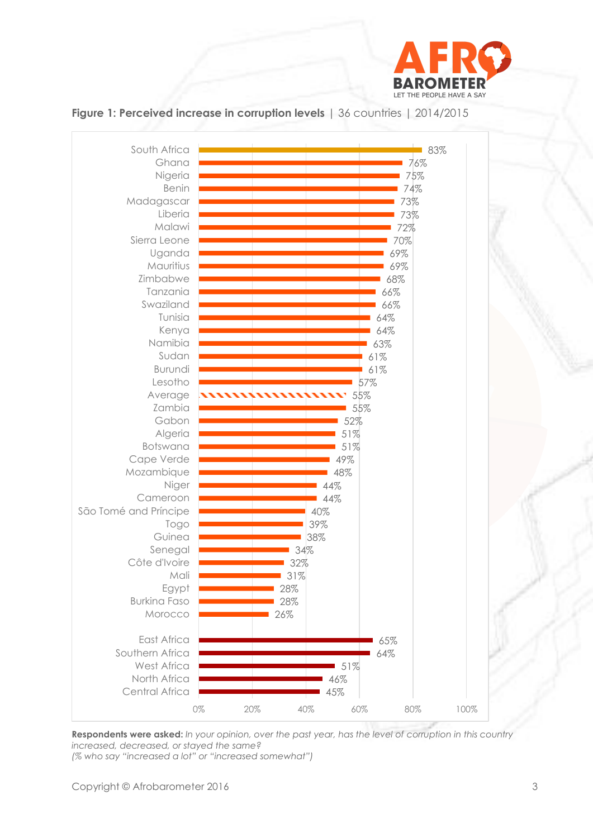

## **Figure 1: Perceived increase in corruption levels** | 36 countries | 2014/2015



**Respondents were asked:** *In your opinion, over the past year, has the level of corruption in this country increased, decreased, or stayed the same? (% who say "increased a lot" or "increased somewhat")*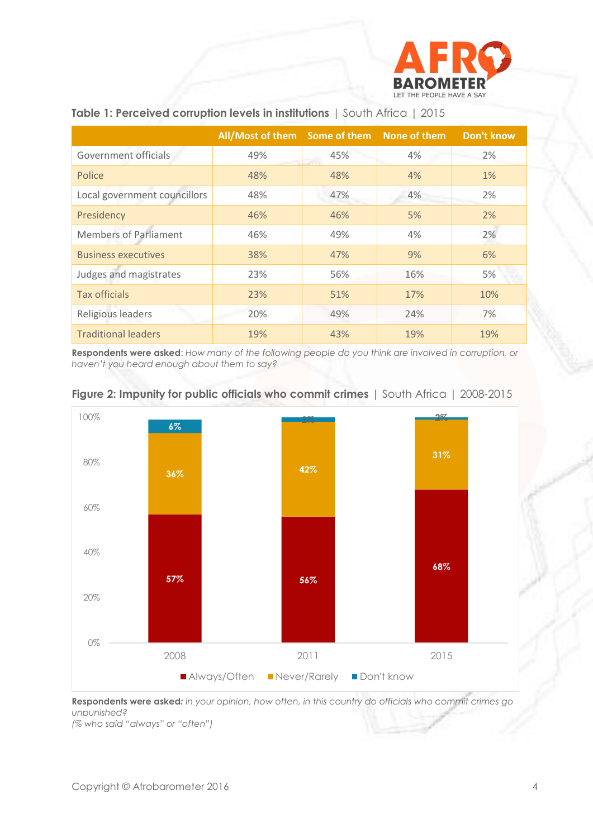

|                              | All/Most of them Some of them None of them |     |     | <b>Don't know</b> |
|------------------------------|--------------------------------------------|-----|-----|-------------------|
| Government officials         | 49%                                        | 45% | 4%  | 2%                |
| Police                       | 48%                                        | 48% | 4%  | 1%                |
| Local government councillors | 48%                                        | 47% | 4%  | 2%                |
| Presidency                   | 46%                                        | 46% | 5%  | 2%                |
| <b>Members of Parliament</b> | 46%                                        | 49% | 4%  | 2%                |
| <b>Business executives</b>   | 38%                                        | 47% | 9%  | 6%                |
| Judges and magistrates       | 23%                                        | 56% | 16% | 5%                |
| <b>Tax officials</b>         | 23%                                        | 51% | 17% | 10%               |
| Religious leaders            | 20%                                        | 49% | 24% | 7%                |
| <b>Traditional leaders</b>   | 19%                                        | 43% | 19% | 19%               |

#### **Table 1: Perceived corruption levels in institutions** | South Africa | 2015

**Respondents were asked**: *How many of the following people do you think are involved in corruption, or haven't you heard enough about them to say?*



#### **Figure 2: Impunity for public officials who commit crimes** | South Africa | 2008-2015

**Respondents were asked***: In your opinion, how often, in this country do officials who commit crimes go unpunished? (% who said "always" or "often")*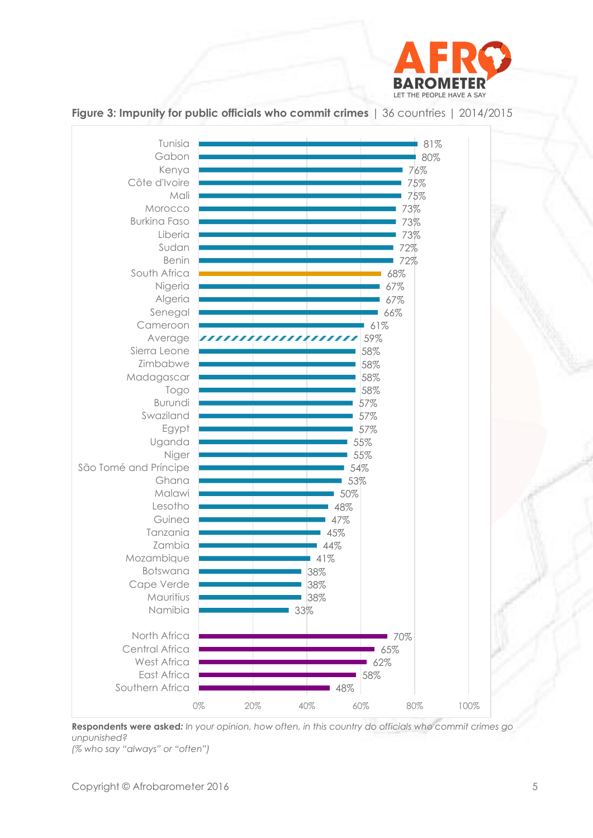

#### Tunisia81% Gabon 80% Kenya 76% Côte d'Ivoire 75% Mali 75% Morocco 73% Burkina Faso 73% Liberia 73% Sudan 72% Benin 72% South Africa 68% Nigeria 67% Algeria 67% Senegal 66% 61% Cameroon Average 59% ,,,,,,,,,,,,, Sierra Leone 58% Zimbabwe 58% 58% Madagascar 58% Togo Burundi 57% Swaziland 57% 57% Egypt Uganda 55% Niger 55% São Tomé and Príncipe 54% Ghana 53% Malawi 50% Lesotho 48% Guinea 47% Tanzania 45% Zambia 44% Mozambique 41% Botswana 38% Cape Verde 38% Mauritius 38% Namibia 33% North Africa 70% Central Africa 65% West Africa  $62%$ East Africa 58% Southern Africa 48% 0% 20% 40% 60% 80% 100%

**Figure 3: Impunity for public officials who commit crimes** | 36 countries | 2014/2015

**Respondents were asked***: In your opinion, how often, in this country do officials who commit crimes go unpunished?*

*(% who say "always" or "often")*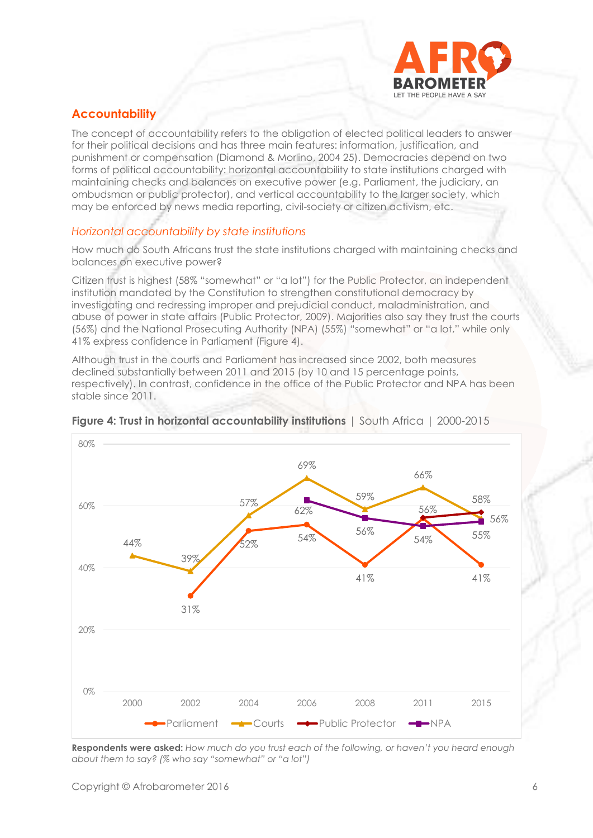

## **Accountability**

The concept of accountability refers to the obligation of elected political leaders to answer for their political decisions and has three main features: information, justification, and punishment or compensation (Diamond & Morlino, 2004 25). Democracies depend on two forms of political accountability: horizontal accountability to state institutions charged with maintaining checks and balances on executive power (e.g. Parliament, the judiciary, an ombudsman or public protector), and vertical accountability to the larger society, which may be enforced by news media reporting, civil-society or citizen activism, etc.

### *Horizontal accountability by state institutions*

How much do South Africans trust the state institutions charged with maintaining checks and balances on executive power?

Citizen trust is highest (58% "somewhat" or "a lot") for the Public Protector, an independent institution mandated by the Constitution to strengthen constitutional democracy by investigating and redressing improper and prejudicial conduct, maladministration, and abuse of power in state affairs (Public Protector, 2009). Majorities also say they trust the courts (56%) and the National Prosecuting Authority (NPA) (55%) "somewhat" or "a lot," while only 41% express confidence in Parliament (Figure 4).

Although trust in the courts and Parliament has increased since 2002, both measures declined substantially between 2011 and 2015 (by 10 and 15 percentage points, respectively). In contrast, confidence in the office of the Public Protector and NPA has been stable since 2011.



#### **Figure 4: Trust in horizontal accountability institutions** | South Africa | 2000-2015

**Respondents were asked:** *How much do you trust each of the following, or haven't you heard enough about them to say? (% who say "somewhat" or "a lot")*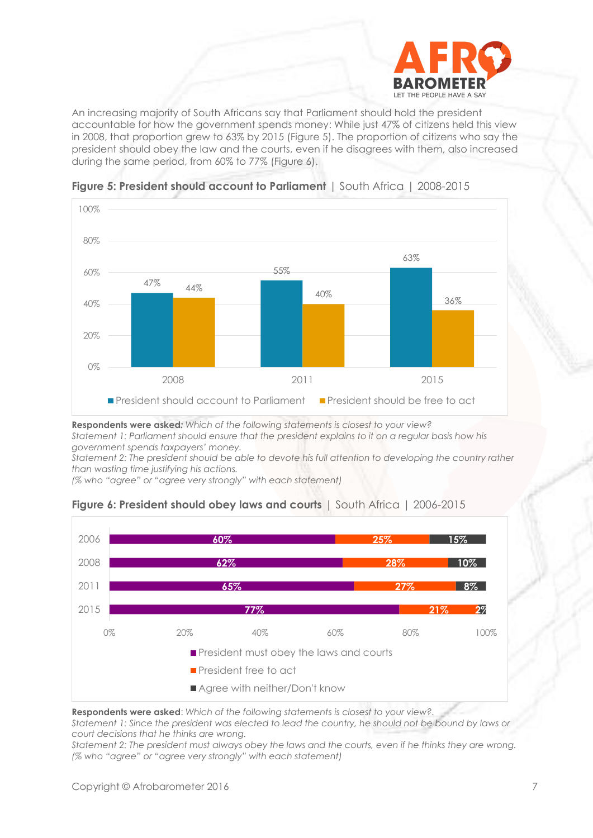

An increasing majority of South Africans say that Parliament should hold the president accountable for how the government spends money: While just 47% of citizens held this view in 2008, that proportion grew to 63% by 2015 (Figure 5). The proportion of citizens who say the president should obey the law and the courts, even if he disagrees with them, also increased during the same period, from 60% to 77% (Figure 6).



**Figure 5: President should account to Parliament** | South Africa | 2008-2015

**Respondents were asked***: Which of the following statements is closest to your view? Statement 1: Parliament should ensure that the president explains to it on a regular basis how his government spends taxpayers' money.*

*Statement 2: The president should be able to devote his full attention to developing the country rather than wasting time justifying his actions.* 

*(% who "agree" or "agree very strongly" with each statement)*



**Figure 6: President should obey laws and courts** | South Africa | 2006-2015

**Respondents were asked**: *Which of the following statements is closest to your view?.*

*Statement 1: Since the president was elected to lead the country, he should not be bound by laws or court decisions that he thinks are wrong.* 

*Statement 2: The president must always obey the laws and the courts, even if he thinks they are wrong. (% who "agree" or "agree very strongly" with each statement)*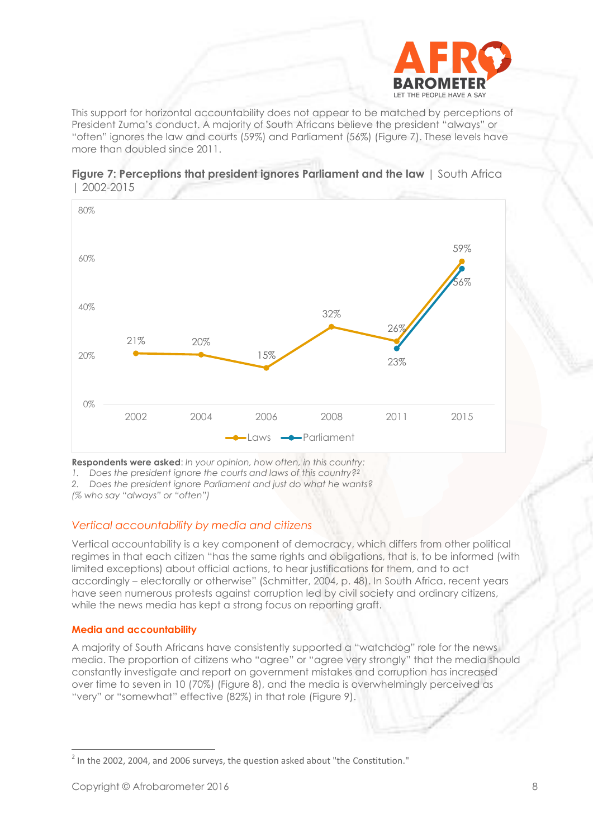

This support for horizontal accountability does not appear to be matched by perceptions of President Zuma's conduct. A majority of South Africans believe the president "always" or "often" ignores the law and courts (59%) and Parliament (56%) (Figure 7). These levels have more than doubled since 2011.





**Respondents were asked**: *In your opinion, how often, in this country:*

*1. Does the president ignore the courts and laws of this country?<sup>2</sup>*

*2. Does the president ignore Parliament and just do what he wants?*

*(% who say "always" or "often")*

#### *Vertical accountability by media and citizens*

Vertical accountability is a key component of democracy, which differs from other political regimes in that each citizen "has the same rights and obligations, that is, to be informed (with limited exceptions) about official actions, to hear justifications for them, and to act accordingly – electorally or otherwise" (Schmitter, 2004, p. 48). In South Africa, recent years have seen numerous protests against corruption led by civil society and ordinary citizens, while the news media has kept a strong focus on reporting graft.

#### **Media and accountability**

A majority of South Africans have consistently supported a "watchdog" role for the news media. The proportion of citizens who "agree" or "agree very strongly" that the media should constantly investigate and report on government mistakes and corruption has increased over time to seven in 10 (70%) (Figure 8), and the media is overwhelmingly perceived as "very" or "somewhat" effective (82%) in that role (Figure 9).

 $^2$  In the 2002, 2004, and 2006 surveys, the question asked about "the Constitution."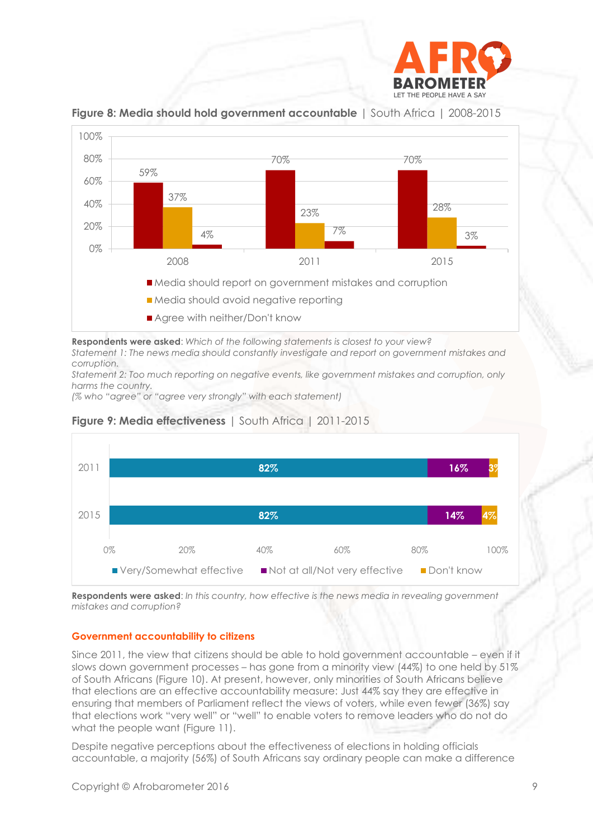



**Figure 8: Media should hold government accountable** | South Africa | 2008-2015

**Respondents were asked**: *Which of the following statements is closest to your view? Statement 1: The news media should constantly investigate and report on government mistakes and corruption.*

*Statement 2: Too much reporting on negative events, like government mistakes and corruption, only harms the country.* 

*(% who "agree" or "agree very strongly" with each statement)*



## **Figure 9: Media effectiveness** | South Africa | 2011-2015

**Respondents were asked**: *In this country, how effective is the news media in revealing government mistakes and corruption?*

#### **Government accountability to citizens**

Since 2011, the view that citizens should be able to hold government accountable – even if it slows down government processes – has gone from a minority view (44%) to one held by 51% of South Africans (Figure 10). At present, however, only minorities of South Africans believe that elections are an effective accountability measure: Just 44% say they are effective in ensuring that members of Parliament reflect the views of voters, while even fewer (36%) say that elections work "very well" or "well" to enable voters to remove leaders who do not do what the people want (Figure 11).

Despite negative perceptions about the effectiveness of elections in holding officials accountable, a majority (56%) of South Africans say ordinary people can make a difference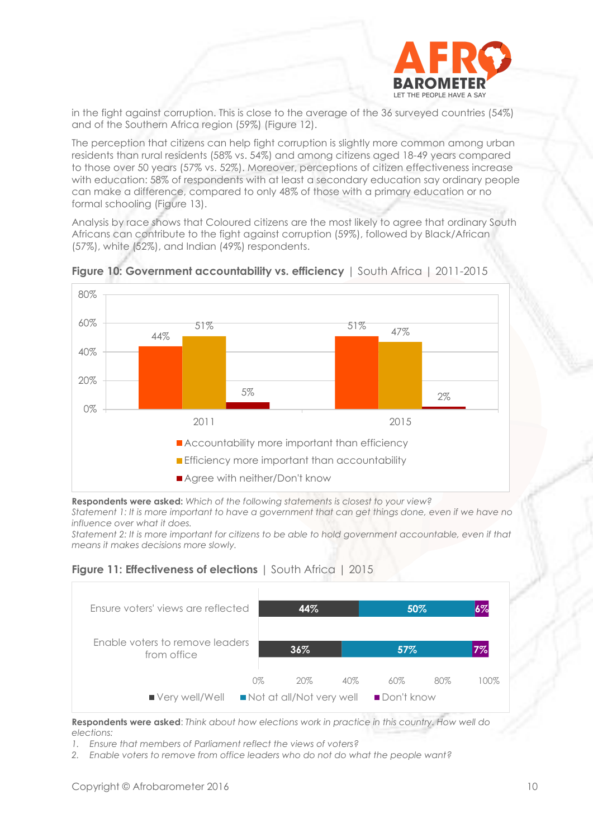

in the fight against corruption. This is close to the average of the 36 surveyed countries (54%) and of the Southern Africa region (59%) (Figure 12).

The perception that citizens can help fight corruption is slightly more common among urban residents than rural residents (58% vs. 54%) and among citizens aged 18-49 years compared to those over 50 years (57% vs. 52%). Moreover, perceptions of citizen effectiveness increase with education: 58% of respondents with at least a secondary education say ordinary people can make a difference, compared to only 48% of those with a primary education or no formal schooling (Figure 13).

Analysis by race shows that Coloured citizens are the most likely to agree that ordinary South Africans can contribute to the fight against corruption (59%), followed by Black/African (57%), white (52%), and Indian (49%) respondents.



**Figure 10: Government accountability vs. efficiency** | South Africa | 2011-2015

**Respondents were asked:** *Which of the following statements is closest to your view?* 

*Statement 1: It is more important to have a government that can get things done, even if we have no influence over what it does.*

*Statement 2: It is more important for citizens to be able to hold government accountable, even if that means it makes decisions more slowly.*

**Figure 11: Effectiveness of elections** | South Africa | 2015



**Respondents were asked**: *Think about how elections work in practice in this country. How well do elections:* 

- *1. Ensure that members of Parliament reflect the views of voters?*
- *2. Enable voters to remove from office leaders who do not do what the people want?*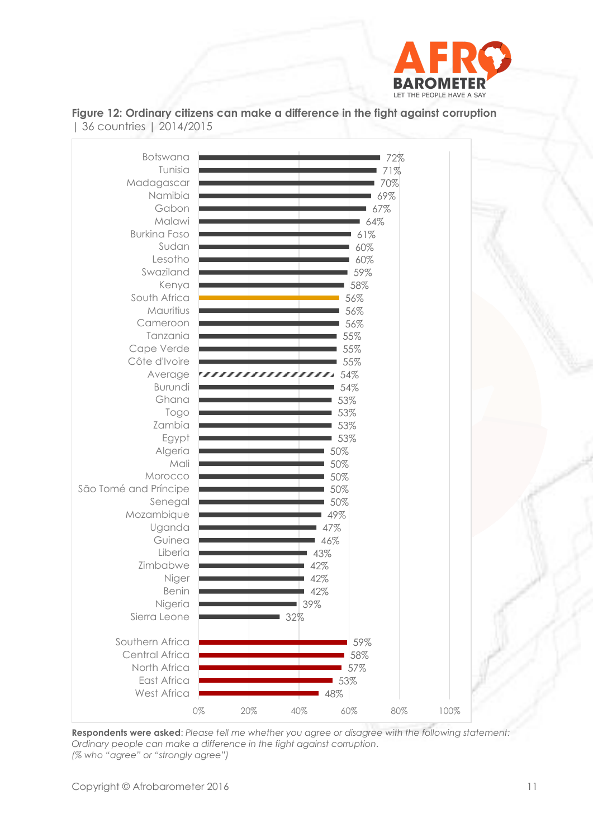

Botswana72% Tunisia 71% Madagascar 70% Namibia 69% Gabon 67% Malawi 64% Burkina Faso 61% Sudan 60% Lesotho 60% Swaziland 59% Kenya 58% South Africa 56% Mauritius 56% Cameroon 56% Tanzania 55% Cape Verde 55% Côte d'Ivoire 55% Average 54% ,,,,,,,,,,,,,,,,,,, Burundi 54% Ghana 53% 53% Togo Zambia 53% Egypt 53% Algeria 50% Mali 50% Morocco 50% São Tomé and Príncipe 50% Senegal 50% Mozambique 49% Uganda 47% Guinea 46% Liberia 43% Zimbabwe 42% Niger 42% Benin 42% Nigeria 39% Sierra Leone 32% Southern Africa 59% Central Africa 58% North Africa 57% East Africa 53% West Africa 48% 0% 20% 40% 60% 80% 100%

**Figure 12: Ordinary citizens can make a difference in the fight against corruption**  | 36 countries | 2014/2015

**Respondents were asked**: *Please tell me whether you agree or disagree with the following statement: Ordinary people can make a difference in the fight against corruption. (% who "agree" or "strongly agree")*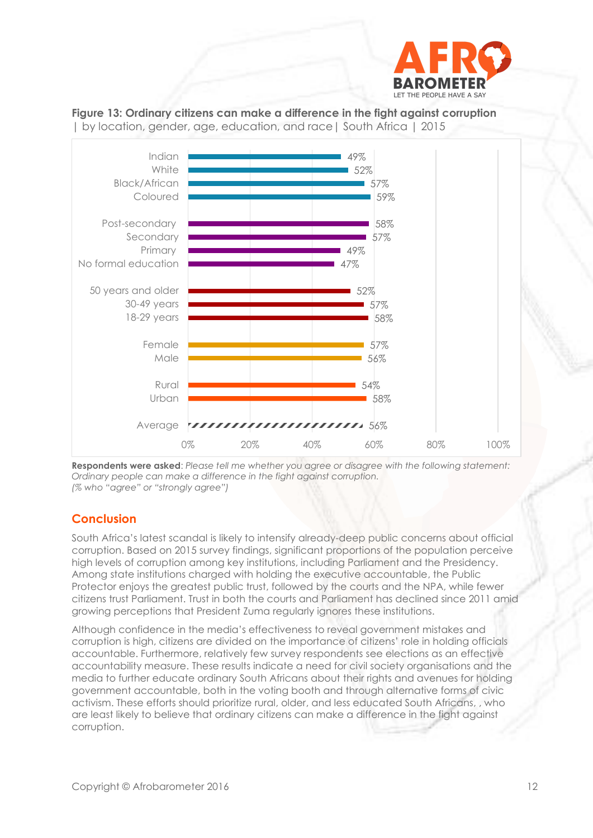





**Respondents were asked**: *Please tell me whether you agree or disagree with the following statement: Ordinary people can make a difference in the fight against corruption. (% who "agree" or "strongly agree")* 

## **Conclusion**

South Africa's latest scandal is likely to intensify already-deep public concerns about official corruption. Based on 2015 survey findings, significant proportions of the population perceive high levels of corruption among key institutions, including Parliament and the Presidency. Among state institutions charged with holding the executive accountable, the Public Protector enjoys the greatest public trust, followed by the courts and the NPA, while fewer citizens trust Parliament. Trust in both the courts and Parliament has declined since 2011 amid growing perceptions that President Zuma regularly ignores these institutions.

Although confidence in the media's effectiveness to reveal government mistakes and corruption is high, citizens are divided on the importance of citizens' role in holding officials accountable. Furthermore, relatively few survey respondents see elections as an effective accountability measure. These results indicate a need for civil society organisations and the media to further educate ordinary South Africans about their rights and avenues for holding government accountable, both in the voting booth and through alternative forms of civic activism. These efforts should prioritize rural, older, and less educated South Africans, , who are least likely to believe that ordinary citizens can make a difference in the fight against corruption.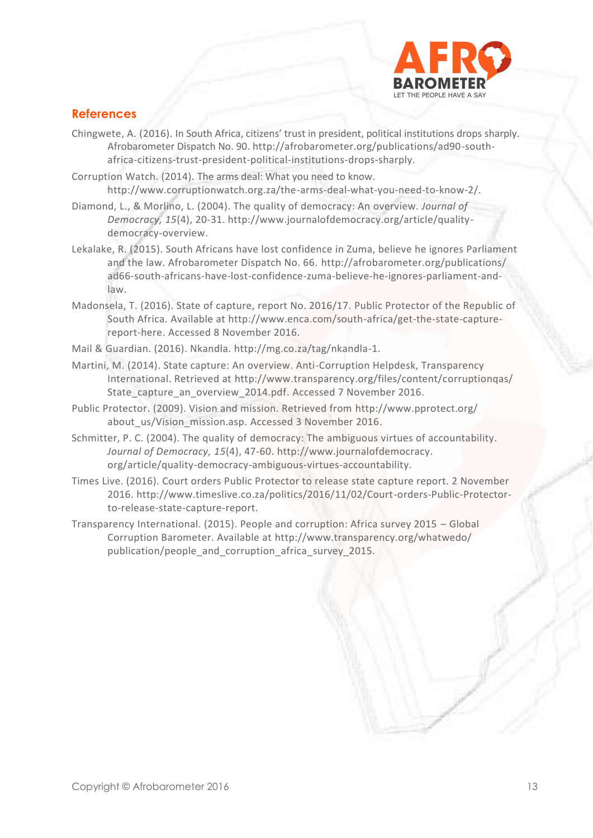

## **References**

- Chingwete, A. (2016). In South Africa, citizens' trust in president, political institutions drops sharply. Afrobarometer Dispatch No. 90. http://afrobarometer.org/publications/ad90-southafrica-citizens-trust-president-political-institutions-drops-sharply.
- Corruption Watch. (2014). The arms deal: What you need to know. http://www.corruptionwatch.org.za/the-arms-deal-what-you-need-to-know-2/.
- Diamond, L., & Morlino, L. (2004). The quality of democracy: An overview. *Journal of Democracy, 15*(4), 20-31. http://www.journalofdemocracy.org/article/qualitydemocracy-overview.
- Lekalake, R. (2015). South Africans have lost confidence in Zuma, believe he ignores Parliament and the law. Afrobarometer Dispatch No. 66.<http://afrobarometer.org/publications/> ad66-south-africans-have-lost-confidence-zuma-believe-he-ignores-parliament-andlaw.
- Madonsela, T. (2016). State of capture, report No. 2016/17. Public Protector of the Republic of South Africa. Available at [http://www.enca.com/south-africa/get-the-state-capture](http://www.enca.com/south-africa/get-the-state-capture-report-here)[report-here.](http://www.enca.com/south-africa/get-the-state-capture-report-here) Accessed 8 November 2016.
- Mail & Guardian. (2016). Nkandla. http://mg.co.za/tag/nkandla-1.
- Martini, M. (2014). State capture: An overview. Anti-Corruption Helpdesk, Transparency International. Retrieved at [http://www.transparency.org/files/content/corruptionqas/](http://www.transparency.org/files/content/corruptionqas/%20State_capture_an_overview_2014.pdf)  [State\\_capture\\_an\\_overview\\_2014.pdf.](http://www.transparency.org/files/content/corruptionqas/%20State_capture_an_overview_2014.pdf) Accessed 7 November 2016.
- Public Protector. (2009). Vision and mission. Retrieved from [http://www.pprotect.org/](http://www.pprotect.org/%20about_us/Vision_mission.asp)  [about\\_us/Vision\\_mission.asp.](http://www.pprotect.org/%20about_us/Vision_mission.asp) Accessed 3 November 2016.
- Schmitter, P. C. (2004). The quality of democracy: The ambiguous virtues of accountability. *Journal of Democracy, 15*(4), 47-60. http://www.journalofdemocracy. org/article/quality-democracy-ambiguous-virtues-accountability.
- Times Live. (2016). Court orders Public Protector to release state capture report. 2 November 2016. http://www.timeslive.co.za/politics/2016/11/02/Court-orders-Public-Protectorto-release-state-capture-report.
- Transparency International. (2015). People and corruption: Africa survey 2015 Global Corruption Barometer. Available at<http://www.transparency.org/whatwedo/> publication/people\_and\_corruption\_africa\_survey\_2015.